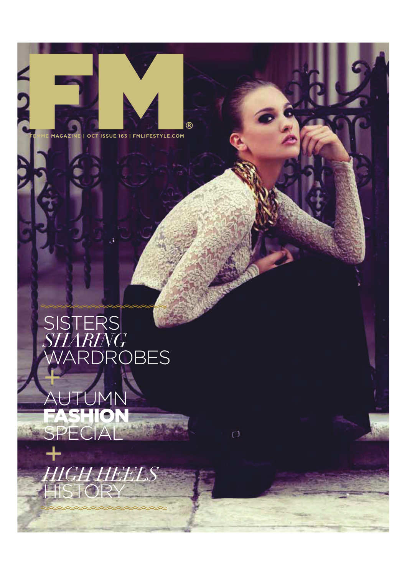**FEMME MAGAZINE | OCT ISSUE 163 | FMLIFESTYLE.COM**

 $^{\circledR}$ 

 $\sigma$ 

# **SISTERS** *SHARING*  ROBES

# AUTUMN FASHION

*IGH HEEL* 

SPECIAL

**HISTOR**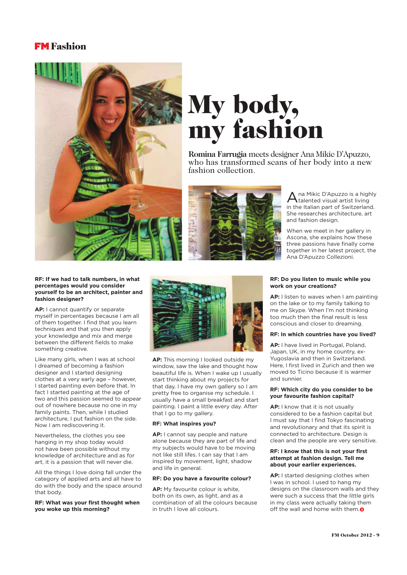## **FM** Fashion



# My body, my fashion

**Romina Farrugia** meets designer Ana Mikic D'Apuzzo, who has transformed scans of her body into a new fashion collection.



Ana Mikic D'Apuzzo is a high<br>
talented visual artist living na Mikic D'Apuzzo is a highly in the Italian part of Switzerland. She researches architecture, art and fashion design.

When we meet in her gallery in Ascona, she explains how these three passions have finally come together in her latest project, the Ana D'Apuzzo Collezioni.

#### **RF: If we had to talk numbers, in what percentages would you consider yourself to be an architect, painter and fashion designer?**

**AP:** I cannot quantify or separate myself in percentages because I am all of them together. I find that you learn techniques and that you then apply your knowledge and mix and merge between the different fields to make something creative.

Like many girls, when I was at school I dreamed of becoming a fashion designer and I started designing clothes at a very early age – however, I started painting even before that. In fact I started painting at the age of two and this passion seemed to appear out of nowhere because no one in my family paints. Then, while I studied architecture, I put fashion on the side. Now I am rediscovering it.

Nevertheless, the clothes you see hanging in my shop today would not have been possible without my knowledge of architecture and as for art, it is a passion that will never die.

All the things I love doing fall under the category of applied arts and all have to do with the body and the space around that body.

#### **RF: What was your first thought when you woke up this morning?**



**AP:** This morning I looked outside my window, saw the lake and thought how beautiful life is. When I wake up I usually start thinking about my projects for that day. I have my own gallery so I am pretty free to organise my schedule. I usually have a small breakfast and start painting. I paint a little every day. After that I go to my gallery.

#### **RF: What inspires you?**

**AP:** I cannot say people and nature alone because they are part of life and my subjects would have to be moving not like still lifes. I can say that I am inspired by movement, light, shadow and life in general.

#### **RF: Do you have a favourite colour?**

**AP:** My favourite colour is white, both on its own, as light, and as a combination of all the colours because in truth I love all colours.

#### **RF: Do you listen to music while you work on your creations?**

**AP:** I listen to waves when I am painting on the lake or to my family talking to me on Skype. When I'm not thinking too much then the final result is less conscious and closer to dreaming.

#### **RF: In which countries have you lived?**

**AP:** I have lived in Portugal, Poland, Japan, UK, in my home country, ex-Yugoslavia and then in Switzerland. Here, I first lived in Zurich and then we moved to Ticino because it is warmer and sunnier.

#### **RF: Which city do you consider to be your favourite fashion capital?**

**AP:** I know that it is not usually considered to be a fashion capital but I must say that I find Tokyo fascinating and revolutionary and that its spirit is connected to architecture. Design is clean and the people are very sensitive.

#### **RF: I know that this is not your first attempt at fashion design. Tell me about your earlier experiences.**

**AP:** I started designing clothes when I was in school. I used to hang my designs on the classroom walls and they were such a success that the little girls in my class were actually taking them off the wall and home with them.  $\odot$